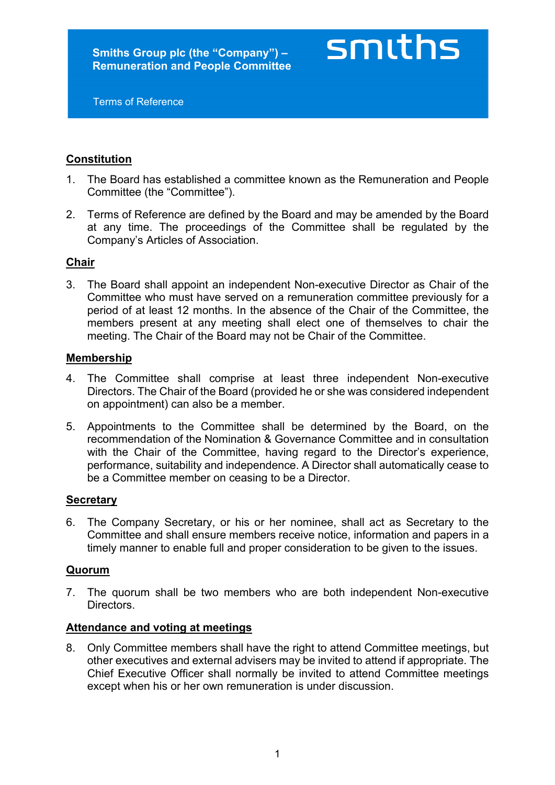Terms of Reference

# **Constitution**

1. The Board has established a committee known as the Remuneration and People Committee (the "Committee").

smiths

2. Terms of Reference are defined by the Board and may be amended by the Board at any time. The proceedings of the Committee shall be regulated by the Company's Articles of Association.

## **Chair**

3. The Board shall appoint an independent Non-executive Director as Chair of the Committee who must have served on a remuneration committee previously for a period of at least 12 months. In the absence of the Chair of the Committee, the members present at any meeting shall elect one of themselves to chair the meeting. The Chair of the Board may not be Chair of the Committee.

## **Membership**

- 4. The Committee shall comprise at least three independent Non-executive Directors. The Chair of the Board (provided he or she was considered independent on appointment) can also be a member.
- 5. Appointments to the Committee shall be determined by the Board, on the recommendation of the Nomination & Governance Committee and in consultation with the Chair of the Committee, having regard to the Director's experience, performance, suitability and independence. A Director shall automatically cease to be a Committee member on ceasing to be a Director.

## **Secretary**

6. The Company Secretary, or his or her nominee, shall act as Secretary to the Committee and shall ensure members receive notice, information and papers in a timely manner to enable full and proper consideration to be given to the issues.

#### **Quorum**

7. The quorum shall be two members who are both independent Non-executive **Directors** 

#### **Attendance and voting at meetings**

8. Only Committee members shall have the right to attend Committee meetings, but other executives and external advisers may be invited to attend if appropriate. The Chief Executive Officer shall normally be invited to attend Committee meetings except when his or her own remuneration is under discussion.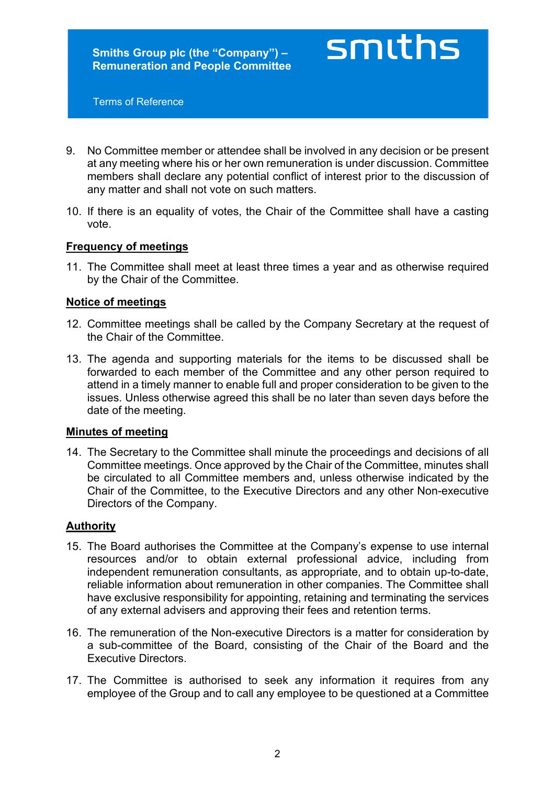smiths

Terms of Reference

- 9. No Committee member or attendee shall be involved in any decision or be present at any meeting where his or her own remuneration is under discussion. Committee members shall declare any potential conflict of interest prior to the discussion of any matter and shall not vote on such matters.
- 10. If there is an equality of votes, the Chair of the Committee shall have a casting vote.

## **Frequency of meetings**

11. The Committee shall meet at least three times a year and as otherwise required by the Chair of the Committee.

## **Notice of meetings**

- 12. Committee meetings shall be called by the Company Secretary at the request of the Chair of the Committee.
- 13. The agenda and supporting materials for the items to be discussed shall be forwarded to each member of the Committee and any other person required to attend in a timely manner to enable full and proper consideration to be given to the issues. Unless otherwise agreed this shall be no later than seven days before the date of the meeting.

#### **Minutes of meeting**

14. The Secretary to the Committee shall minute the proceedings and decisions of all Committee meetings. Once approved by the Chair of the Committee, minutes shall be circulated to all Committee members and, unless otherwise indicated by the Chair of the Committee, to the Executive Directors and any other Non-executive Directors of the Company.

#### **Authority**

- 15. The Board authorises the Committee at the Company's expense to use internal resources and/or to obtain external professional advice, including from independent remuneration consultants, as appropriate, and to obtain up-to-date, reliable information about remuneration in other companies. The Committee shall have exclusive responsibility for appointing, retaining and terminating the services of any external advisers and approving their fees and retention terms.
- 16. The remuneration of the Non-executive Directors is a matter for consideration by a sub-committee of the Board, consisting of the Chair of the Board and the Executive Directors.
- 17. The Committee is authorised to seek any information it requires from any employee of the Group and to call any employee to be questioned at a Committee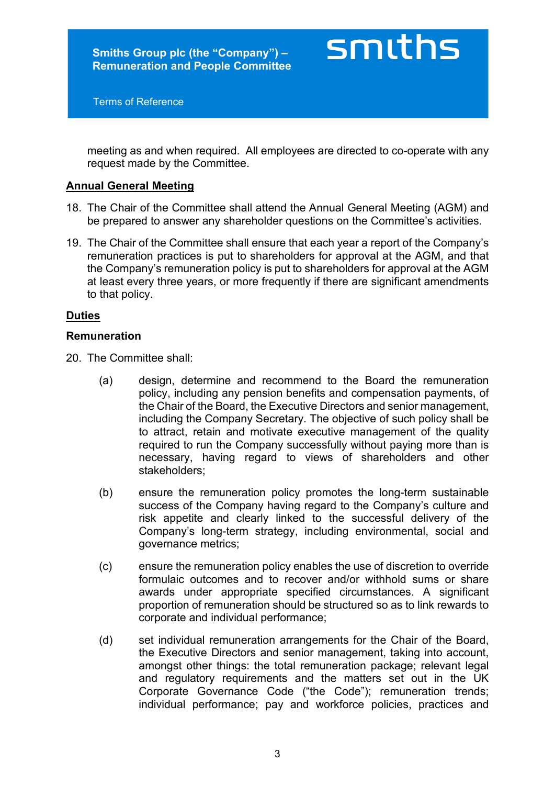Terms of Reference

meeting as and when required. All employees are directed to co-operate with any request made by the Committee.

smiths

## **Annual General Meeting**

- 18. The Chair of the Committee shall attend the Annual General Meeting (AGM) and be prepared to answer any shareholder questions on the Committee's activities.
- 19. The Chair of the Committee shall ensure that each year a report of the Company's remuneration practices is put to shareholders for approval at the AGM, and that the Company's remuneration policy is put to shareholders for approval at the AGM at least every three years, or more frequently if there are significant amendments to that policy.

#### **Duties**

#### **Remuneration**

20. The Committee shall:

- (a) design, determine and recommend to the Board the remuneration policy, including any pension benefits and compensation payments, of the Chair of the Board, the Executive Directors and senior management, including the Company Secretary. The objective of such policy shall be to attract, retain and motivate executive management of the quality required to run the Company successfully without paying more than is necessary, having regard to views of shareholders and other stakeholders;
- (b) ensure the remuneration policy promotes the long-term sustainable success of the Company having regard to the Company's culture and risk appetite and clearly linked to the successful delivery of the Company's long-term strategy, including environmental, social and governance metrics;
- (c) ensure the remuneration policy enables the use of discretion to override formulaic outcomes and to recover and/or withhold sums or share awards under appropriate specified circumstances. A significant proportion of remuneration should be structured so as to link rewards to corporate and individual performance;
- (d) set individual remuneration arrangements for the Chair of the Board, the Executive Directors and senior management, taking into account, amongst other things: the total remuneration package; relevant legal and regulatory requirements and the matters set out in the UK Corporate Governance Code ("the Code"); remuneration trends; individual performance; pay and workforce policies, practices and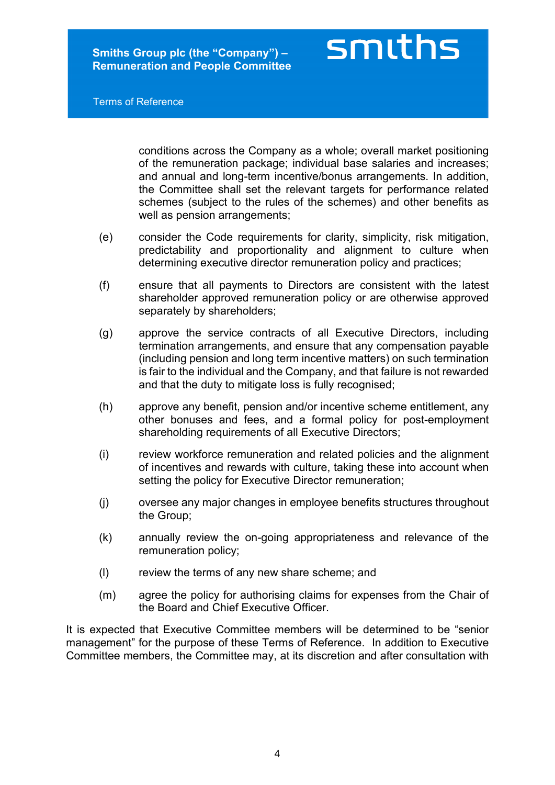Terms of Reference

conditions across the Company as a whole; overall market positioning of the remuneration package; individual base salaries and increases; and annual and long-term incentive/bonus arrangements. In addition, the Committee shall set the relevant targets for performance related schemes (subject to the rules of the schemes) and other benefits as well as pension arrangements;

smiths

- (e) consider the Code requirements for clarity, simplicity, risk mitigation, predictability and proportionality and alignment to culture when determining executive director remuneration policy and practices;
- (f) ensure that all payments to Directors are consistent with the latest shareholder approved remuneration policy or are otherwise approved separately by shareholders;
- (g) approve the service contracts of all Executive Directors, including termination arrangements, and ensure that any compensation payable (including pension and long term incentive matters) on such termination is fair to the individual and the Company, and that failure is not rewarded and that the duty to mitigate loss is fully recognised;
- (h) approve any benefit, pension and/or incentive scheme entitlement, any other bonuses and fees, and a formal policy for post-employment shareholding requirements of all Executive Directors;
- (i) review workforce remuneration and related policies and the alignment of incentives and rewards with culture, taking these into account when setting the policy for Executive Director remuneration;
- (j) oversee any major changes in employee benefits structures throughout the Group;
- (k) annually review the on-going appropriateness and relevance of the remuneration policy;
- (l) review the terms of any new share scheme; and
- (m) agree the policy for authorising claims for expenses from the Chair of the Board and Chief Executive Officer.

It is expected that Executive Committee members will be determined to be "senior management" for the purpose of these Terms of Reference. In addition to Executive Committee members, the Committee may, at its discretion and after consultation with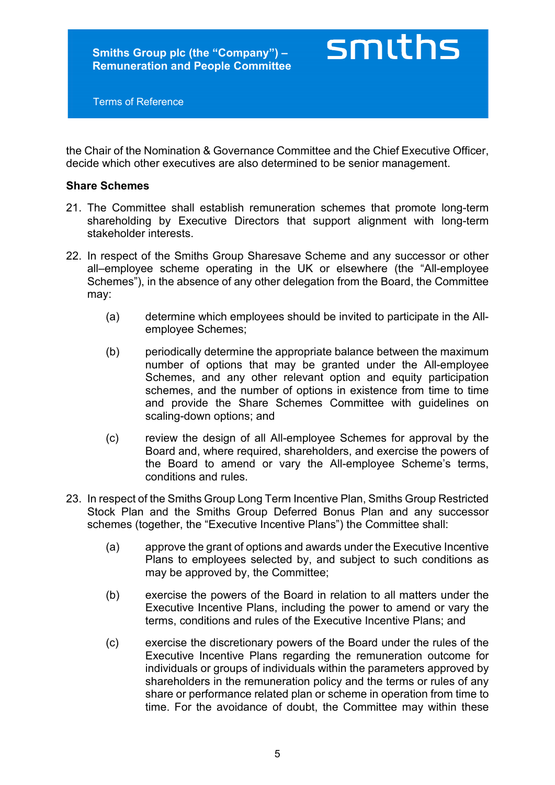Terms of Reference

the Chair of the Nomination & Governance Committee and the Chief Executive Officer, decide which other executives are also determined to be senior management.

smiths

#### **Share Schemes**

- 21. The Committee shall establish remuneration schemes that promote long-term shareholding by Executive Directors that support alignment with long-term stakeholder interests.
- 22. In respect of the Smiths Group Sharesave Scheme and any successor or other all–employee scheme operating in the UK or elsewhere (the "All-employee Schemes"), in the absence of any other delegation from the Board, the Committee may:
	- (a) determine which employees should be invited to participate in the Allemployee Schemes;
	- (b) periodically determine the appropriate balance between the maximum number of options that may be granted under the All-employee Schemes, and any other relevant option and equity participation schemes, and the number of options in existence from time to time and provide the Share Schemes Committee with guidelines on scaling-down options; and
	- (c) review the design of all All-employee Schemes for approval by the Board and, where required, shareholders, and exercise the powers of the Board to amend or vary the All-employee Scheme's terms, conditions and rules.
- 23. In respect of the Smiths Group Long Term Incentive Plan, Smiths Group Restricted Stock Plan and the Smiths Group Deferred Bonus Plan and any successor schemes (together, the "Executive Incentive Plans") the Committee shall:
	- (a) approve the grant of options and awards under the Executive Incentive Plans to employees selected by, and subject to such conditions as may be approved by, the Committee;
	- (b) exercise the powers of the Board in relation to all matters under the Executive Incentive Plans, including the power to amend or vary the terms, conditions and rules of the Executive Incentive Plans; and
	- (c) exercise the discretionary powers of the Board under the rules of the Executive Incentive Plans regarding the remuneration outcome for individuals or groups of individuals within the parameters approved by shareholders in the remuneration policy and the terms or rules of any share or performance related plan or scheme in operation from time to time. For the avoidance of doubt, the Committee may within these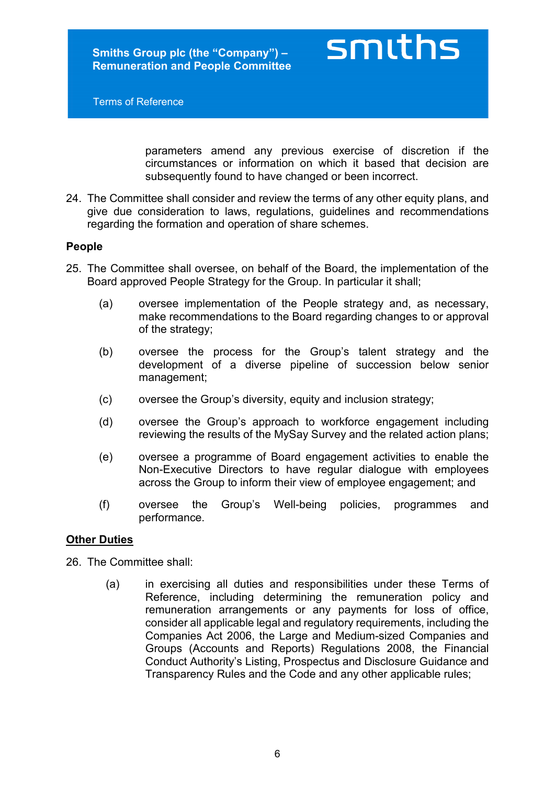Terms of Reference

smiths

parameters amend any previous exercise of discretion if the circumstances or information on which it based that decision are subsequently found to have changed or been incorrect.

24. The Committee shall consider and review the terms of any other equity plans, and give due consideration to laws, regulations, guidelines and recommendations regarding the formation and operation of share schemes.

## **People**

- 25. The Committee shall oversee, on behalf of the Board, the implementation of the Board approved People Strategy for the Group. In particular it shall;
	- (a) oversee implementation of the People strategy and, as necessary, make recommendations to the Board regarding changes to or approval of the strategy;
	- (b) oversee the process for the Group's talent strategy and the development of a diverse pipeline of succession below senior management;
	- (c) oversee the Group's diversity, equity and inclusion strategy;
	- (d) oversee the Group's approach to workforce engagement including reviewing the results of the MySay Survey and the related action plans;
	- (e) oversee a programme of Board engagement activities to enable the Non-Executive Directors to have regular dialogue with employees across the Group to inform their view of employee engagement; and
	- (f) oversee the Group's Well-being policies, programmes and performance.

#### **Other Duties**

26. The Committee shall:

(a) in exercising all duties and responsibilities under these Terms of Reference, including determining the remuneration policy and remuneration arrangements or any payments for loss of office, consider all applicable legal and regulatory requirements, including the Companies Act 2006, the Large and Medium-sized Companies and Groups (Accounts and Reports) Regulations 2008, the Financial Conduct Authority's Listing, Prospectus and Disclosure Guidance and Transparency Rules and the Code and any other applicable rules;